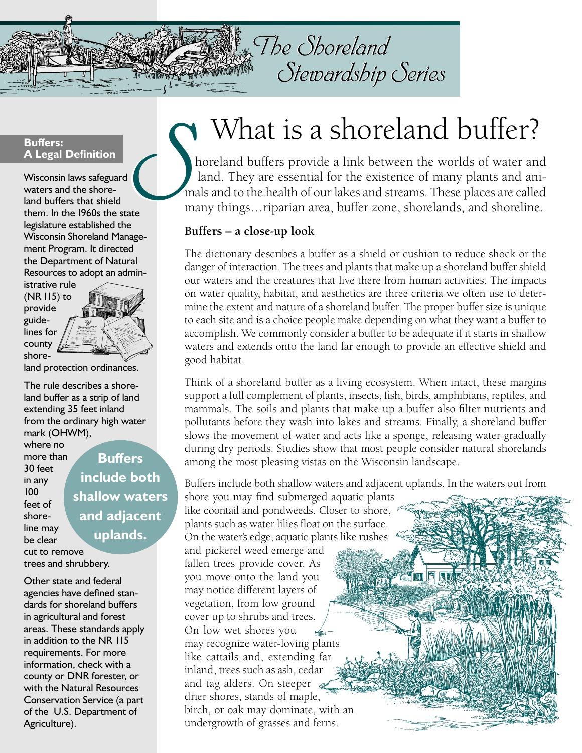

# The Shoreland The Shoreland Stewardship Series Stewardship Series

#### **Buffers: A Legal Definition**

Wisconsin laws safeguard waters and the shoreland buffers that shield them. In the 1960s the state legislature established the Wisconsin Shoreland Management Program. It directed the Department of Natural Resources to adopt an admin- $\sum_{\text{rate}}$ 

istrative rule (NR 115) to provide guidelines for county

shore-



land protection ordinances.

The rule describes a shoreland buffer as a strip of land extending 35 feet inland from the ordinary high water mark (OHWM),

where no more than 30 feet in any 100 feet of shoreline may be clear cut to remove trees and shrubbery.

**Buffers include both shallow waters and adjacent uplands.** 

Other state and federal agencies have defined standards for shoreland buffers in agricultural and forest areas. These standards apply in addition to the NR 115 requirements. For more information, check with a county or DNR forester, or with the Natural Resources Conservation Service (a part of the U.S. Department of Agriculture).

# What is a shoreland buffer?

horeland buffers provide a link between the worlds of water and land. They are essential for the existence of many plants and animals and to the health of our lakes and streams. These places are called many things... riparian area, buffer zone, shorelands, and shoreline.

### **Buffers – a close-up look**

The dictionary describes a buffer as a shield or cushion to reduce shock or the danger of interaction. The trees and plants that make up a shoreland buffer shield our waters and the creatures that live there from human activities. The impacts on water quality, habitat, and aesthetics are three criteria we often use to determine the extent and nature of a shoreland buffer. The proper buffer size is unique to each site and is a choice people make depending on what they want a buffer to accomplish. We commonly consider a buffer to be adequate if it starts in shallow waters and extends onto the land far enough to provide an effective shield and good habitat.

Think of a shoreland buffer as a living ecosystem. When intact, these margins support a full complement of plants, insects, fish, birds, amphibians, reptiles, and mammals. The soils and plants that make up a buffer also filter nutrients and pollutants before they wash into lakes and streams. Finally, a shoreland buffer slows the movement of water and acts like a sponge, releasing water gradually during dry periods. Studies show that most people consider natural shorelands among the most pleasing vistas on the Wisconsin landscape.

Buffers include both shallow waters and adjacent uplands. In the waters out from

shore you may find submerged aquatic plants like coontail and pondweeds. Closer to shore, plants such as water lilies float on the surface. On the water's edge, aquatic plants like rushes and pickerel weed emerge and fallen trees provide cover. As you move onto the land you may notice different layers of vegetation, from low ground cover up to shrubs and trees. On low wet shores you may recognize water-loving plants like cattails and, extending far inland, trees such as ash, cedar and tag alders. On steeper drier shores, stands of maple, birch, or oak may dominate, with an undergrowth of grasses and ferns.